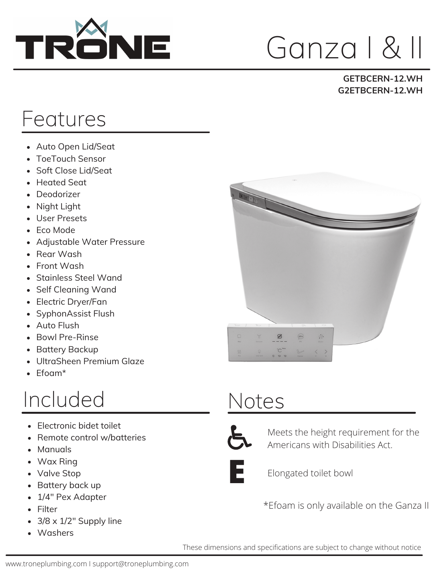

# Ganza I & II

#### **GETBCERN-12.WH G2ETBCERN-12.WH**

### Features

- Auto Open Lid/Seat
- ToeTouch Sensor
- Soft Close Lid/Seat
- Heated Seat
- Deodorizer
- Night Light
- User Presets
- Eco Mode
- Adjustable Water Pressure
- Rear Wash
- Front Wash
- Stainless Steel Wand
- Self Cleaning Wand
- Electric Dryer/Fan
- SyphonAssist Flush
- Auto Flush
- Bowl Pre-Rinse
- Battery Backup  $\bullet$
- UltraSheen Premium Glaze  $\bullet$
- Efoam\*

#### Included

- Electronic bidet toilet
- Remote control w/batteries
- Manuals
- Wax Ring
- Valve Stop
- Battery back up
- 1/4" Pex Adapter
- Filter
- 3/8 x 1/2" Supply line
- Washers



### Notes



Meets the height requirement for the Americans with Disabilities Act.



**E** Elongated toilet bowl

\*Efoam is only available on the Ganza II

These dimensions and specifications are subject to change without notice